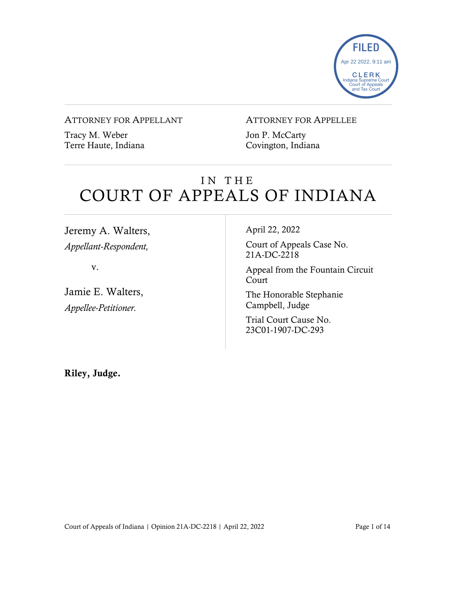

#### ATTORNEY FOR APPELLANT

Tracy M. Weber Terre Haute, Indiana

#### ATTORNEY FOR APPELLEE

Jon P. McCarty Covington, Indiana

# IN THE COURT OF APPEALS OF INDIANA

Jeremy A. Walters, *Appellant-Respondent,*

v.

Jamie E. Walters, *Appellee-Petitioner.*

#### April 22, 2022

Court of Appeals Case No. 21A-DC-2218

Appeal from the Fountain Circuit Court

The Honorable Stephanie Campbell, Judge

Trial Court Cause No. 23C01-1907-DC-293

Riley, Judge.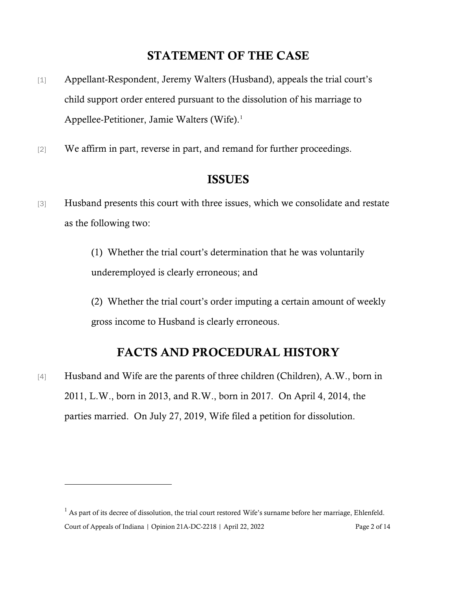# STATEMENT OF THE CASE

- [1] Appellant-Respondent, Jeremy Walters (Husband), appeals the trial court's child support order entered pursuant to the dissolution of his marriage to Appellee-Petitioner, Jamie Walters (Wife).<sup>[1](#page-1-0)</sup>
- [2] We affirm in part, reverse in part, and remand for further proceedings.

### ISSUES

[3] Husband presents this court with three issues, which we consolidate and restate as the following two:

> (1) Whether the trial court's determination that he was voluntarily underemployed is clearly erroneous; and

(2) Whether the trial court's order imputing a certain amount of weekly gross income to Husband is clearly erroneous.

### FACTS AND PROCEDURAL HISTORY

[4] Husband and Wife are the parents of three children (Children), A.W., born in 2011, L.W., born in 2013, and R.W., born in 2017. On April 4, 2014, the parties married. On July 27, 2019, Wife filed a petition for dissolution.

<span id="page-1-0"></span>Court of Appeals of Indiana | Opinion 21A-DC-2218 | April 22, 2022 Page 2 of 14  $1$  As part of its decree of dissolution, the trial court restored Wife's surname before her marriage, Ehlenfeld.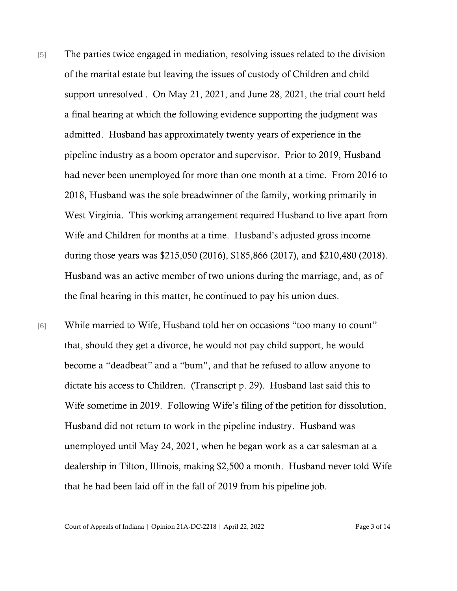- [5] The parties twice engaged in mediation, resolving issues related to the division of the marital estate but leaving the issues of custody of Children and child support unresolved . On May 21, 2021, and June 28, 2021, the trial court held a final hearing at which the following evidence supporting the judgment was admitted. Husband has approximately twenty years of experience in the pipeline industry as a boom operator and supervisor. Prior to 2019, Husband had never been unemployed for more than one month at a time. From 2016 to 2018, Husband was the sole breadwinner of the family, working primarily in West Virginia. This working arrangement required Husband to live apart from Wife and Children for months at a time. Husband's adjusted gross income during those years was \$215,050 (2016), \$185,866 (2017), and \$210,480 (2018). Husband was an active member of two unions during the marriage, and, as of the final hearing in this matter, he continued to pay his union dues.
- [6] While married to Wife, Husband told her on occasions "too many to count" that, should they get a divorce, he would not pay child support, he would become a "deadbeat" and a "bum", and that he refused to allow anyone to dictate his access to Children. (Transcript p. 29). Husband last said this to Wife sometime in 2019. Following Wife's filing of the petition for dissolution, Husband did not return to work in the pipeline industry. Husband was unemployed until May 24, 2021, when he began work as a car salesman at a dealership in Tilton, Illinois, making \$2,500 a month. Husband never told Wife that he had been laid off in the fall of 2019 from his pipeline job.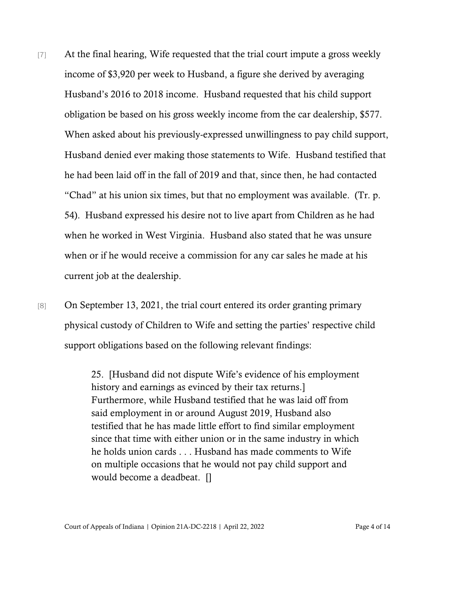- [7] At the final hearing, Wife requested that the trial court impute a gross weekly income of \$3,920 per week to Husband, a figure she derived by averaging Husband's 2016 to 2018 income. Husband requested that his child support obligation be based on his gross weekly income from the car dealership, \$577. When asked about his previously-expressed unwillingness to pay child support, Husband denied ever making those statements to Wife. Husband testified that he had been laid off in the fall of 2019 and that, since then, he had contacted "Chad" at his union six times, but that no employment was available. (Tr. p. 54). Husband expressed his desire not to live apart from Children as he had when he worked in West Virginia. Husband also stated that he was unsure when or if he would receive a commission for any car sales he made at his current job at the dealership.
- [8] On September 13, 2021, the trial court entered its order granting primary physical custody of Children to Wife and setting the parties' respective child support obligations based on the following relevant findings:

25. [Husband did not dispute Wife's evidence of his employment history and earnings as evinced by their tax returns.] Furthermore, while Husband testified that he was laid off from said employment in or around August 2019, Husband also testified that he has made little effort to find similar employment since that time with either union or in the same industry in which he holds union cards . . . Husband has made comments to Wife on multiple occasions that he would not pay child support and would become a deadbeat. []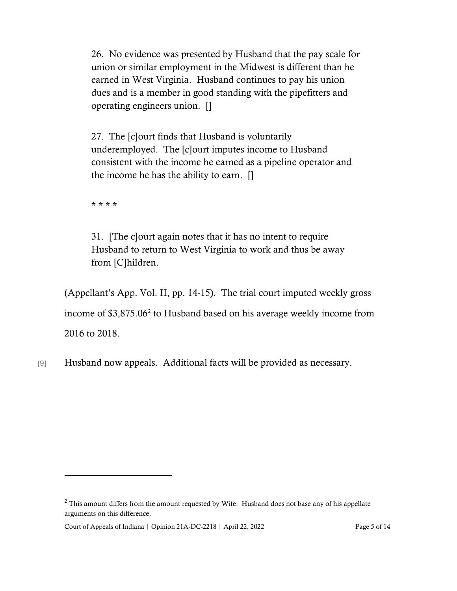26. No evidence was presented by Husband that the pay scale for union or similar employment in the Midwest is different than he earned in West Virginia. Husband continues to pay his union dues and is a member in good standing with the pipefitters and operating engineers union. []

27. The [c]ourt finds that Husband is voluntarily underemployed. The [c]ourt imputes income to Husband consistent with the income he earned as a pipeline operator and the income he has the ability to earn. []

\* \* \* \*

31. [The c]ourt again notes that it has no intent to require Husband to return to West Virginia to work and thus be away from [C]hildren.

(Appellant's App. Vol. II, pp. 14-15). The trial court imputed weekly gross income of \$3,875.06<sup>[2](#page-4-0)</sup> to Husband based on his average weekly income from 2016 to 2018.

[9] Husband now appeals. Additional facts will be provided as necessary.

<span id="page-4-0"></span> $2$  This amount differs from the amount requested by Wife. Husband does not base any of his appellate arguments on this difference.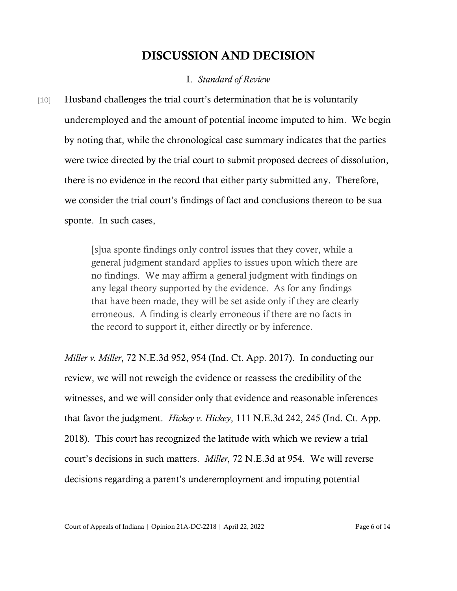### DISCUSSION AND DECISION

### I. *Standard of Review*

[10] Husband challenges the trial court's determination that he is voluntarily underemployed and the amount of potential income imputed to him. We begin by noting that, while the chronological case summary indicates that the parties were twice directed by the trial court to submit proposed decrees of dissolution, there is no evidence in the record that either party submitted any. Therefore, we consider the trial court's findings of fact and conclusions thereon to be sua sponte. In such cases,

> [s]ua sponte findings only control issues that they cover, while a general judgment standard applies to issues upon which there are no findings. We may affirm a general judgment with findings on any legal theory supported by the evidence. As for any findings that have been made, they will be set aside only if they are clearly erroneous. A finding is clearly erroneous if there are no facts in the record to support it, either directly or by inference.

*Miller v. Miller*, 72 N.E.3d 952, 954 (Ind. Ct. App. 2017). In conducting our review, we will not reweigh the evidence or reassess the credibility of the witnesses, and we will consider only that evidence and reasonable inferences that favor the judgment. *Hickey v. Hickey*, 111 N.E.3d 242, 245 (Ind. Ct. App. 2018). This court has recognized the latitude with which we review a trial court's decisions in such matters. *Miller*, 72 N.E.3d at 954. We will reverse decisions regarding a parent's underemployment and imputing potential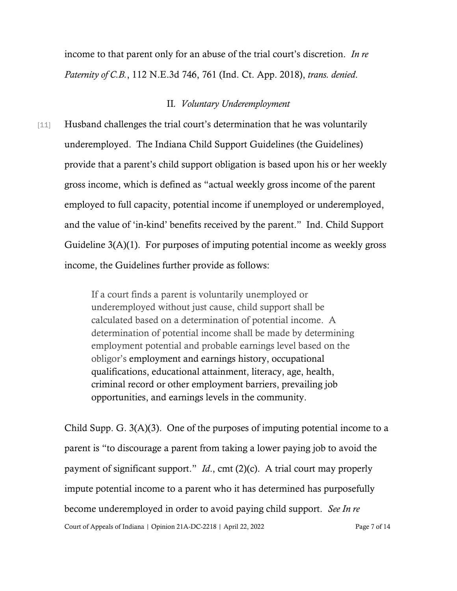income to that parent only for an abuse of the trial court's discretion. *In re Paternity of C.B.*, 112 N.E.3d 746, 761 (Ind. Ct. App. 2018), *trans. denied*.

#### II*. Voluntary Underemployment*

[11] Husband challenges the trial court's determination that he was voluntarily underemployed. The Indiana Child Support Guidelines (the Guidelines) provide that a parent's child support obligation is based upon his or her weekly gross income, which is defined as "actual weekly gross income of the parent employed to full capacity, potential income if unemployed or underemployed, and the value of 'in-kind' benefits received by the parent." Ind. Child Support Guideline 3(A)(1). For purposes of imputing potential income as weekly gross income, the Guidelines further provide as follows:

> If a court finds a parent is voluntarily unemployed or underemployed without just cause, child support shall be calculated based on a determination of potential income. A determination of potential income shall be made by determining employment potential and probable earnings level based on the obligor's employment and earnings history, occupational qualifications, educational attainment, literacy, age, health, criminal record or other employment barriers, prevailing job opportunities, and earnings levels in the community.

Court of Appeals of Indiana | Opinion 21A-DC-2218 | April 22, 2022 Page 7 of 14 Child Supp. G. 3(A)(3). One of the purposes of imputing potential income to a parent is "to discourage a parent from taking a lower paying job to avoid the payment of significant support." *Id*., cmt (2)(c). A trial court may properly impute potential income to a parent who it has determined has purposefully become underemployed in order to avoid paying child support. *See In re*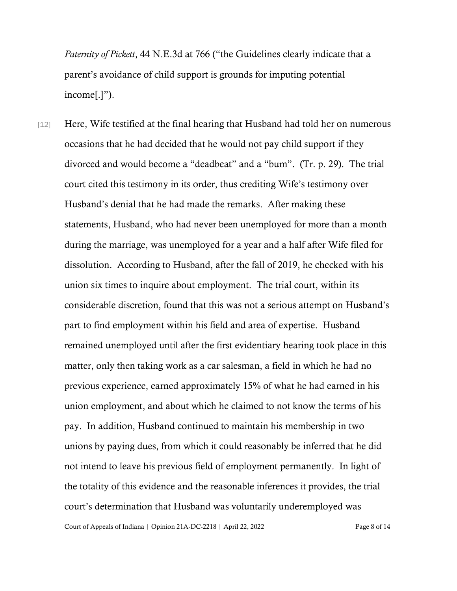*Paternity of Pickett*, 44 N.E.3d at 766 ("the Guidelines clearly indicate that a parent's avoidance of child support is grounds for imputing potential income[.]").

[12] Here, Wife testified at the final hearing that Husband had told her on numerous occasions that he had decided that he would not pay child support if they divorced and would become a "deadbeat" and a "bum". (Tr. p. 29). The trial court cited this testimony in its order, thus crediting Wife's testimony over Husband's denial that he had made the remarks. After making these statements, Husband, who had never been unemployed for more than a month during the marriage, was unemployed for a year and a half after Wife filed for dissolution. According to Husband, after the fall of 2019, he checked with his union six times to inquire about employment. The trial court, within its considerable discretion, found that this was not a serious attempt on Husband's part to find employment within his field and area of expertise. Husband remained unemployed until after the first evidentiary hearing took place in this matter, only then taking work as a car salesman, a field in which he had no previous experience, earned approximately 15% of what he had earned in his union employment, and about which he claimed to not know the terms of his pay. In addition, Husband continued to maintain his membership in two unions by paying dues, from which it could reasonably be inferred that he did not intend to leave his previous field of employment permanently. In light of the totality of this evidence and the reasonable inferences it provides, the trial court's determination that Husband was voluntarily underemployed was

Court of Appeals of Indiana | Opinion 21A-DC-2218 | April 22, 2022 Page 8 of 14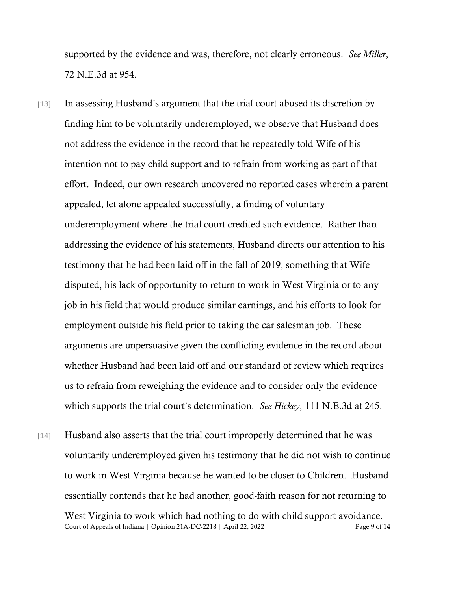supported by the evidence and was, therefore, not clearly erroneous. *See Miller*, 72 N.E.3d at 954.

- [13] In assessing Husband's argument that the trial court abused its discretion by finding him to be voluntarily underemployed, we observe that Husband does not address the evidence in the record that he repeatedly told Wife of his intention not to pay child support and to refrain from working as part of that effort. Indeed, our own research uncovered no reported cases wherein a parent appealed, let alone appealed successfully, a finding of voluntary underemployment where the trial court credited such evidence. Rather than addressing the evidence of his statements, Husband directs our attention to his testimony that he had been laid off in the fall of 2019, something that Wife disputed, his lack of opportunity to return to work in West Virginia or to any job in his field that would produce similar earnings, and his efforts to look for employment outside his field prior to taking the car salesman job. These arguments are unpersuasive given the conflicting evidence in the record about whether Husband had been laid off and our standard of review which requires us to refrain from reweighing the evidence and to consider only the evidence which supports the trial court's determination. *See Hickey*, 111 N.E.3d at 245.
- Court of Appeals of Indiana | Opinion 21A-DC-2218 | April 22, 2022 Page 9 of 14 [14] Husband also asserts that the trial court improperly determined that he was voluntarily underemployed given his testimony that he did not wish to continue to work in West Virginia because he wanted to be closer to Children. Husband essentially contends that he had another, good-faith reason for not returning to West Virginia to work which had nothing to do with child support avoidance.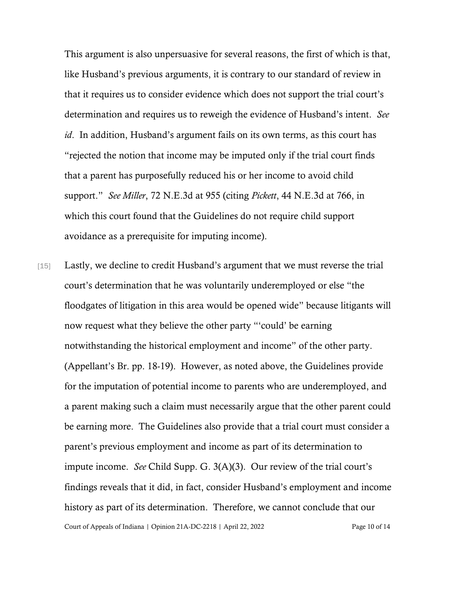This argument is also unpersuasive for several reasons, the first of which is that, like Husband's previous arguments, it is contrary to our standard of review in that it requires us to consider evidence which does not support the trial court's determination and requires us to reweigh the evidence of Husband's intent. *See id*. In addition, Husband's argument fails on its own terms, as this court has "rejected the notion that income may be imputed only if the trial court finds that a parent has purposefully reduced his or her income to avoid child support." *See Miller*, 72 N.E.3d at 955 (citing *Pickett*, 44 N.E.3d at 766, in which this court found that the Guidelines do not require child support avoidance as a prerequisite for imputing income).

Court of Appeals of Indiana | Opinion 21A-DC-2218 | April 22, 2022 Page 10 of 14 [15] Lastly, we decline to credit Husband's argument that we must reverse the trial court's determination that he was voluntarily underemployed or else "the floodgates of litigation in this area would be opened wide" because litigants will now request what they believe the other party "'could' be earning notwithstanding the historical employment and income" of the other party. (Appellant's Br. pp. 18-19). However, as noted above, the Guidelines provide for the imputation of potential income to parents who are underemployed, and a parent making such a claim must necessarily argue that the other parent could be earning more. The Guidelines also provide that a trial court must consider a parent's previous employment and income as part of its determination to impute income. *See* Child Supp. G. 3(A)(3). Our review of the trial court's findings reveals that it did, in fact, consider Husband's employment and income history as part of its determination. Therefore, we cannot conclude that our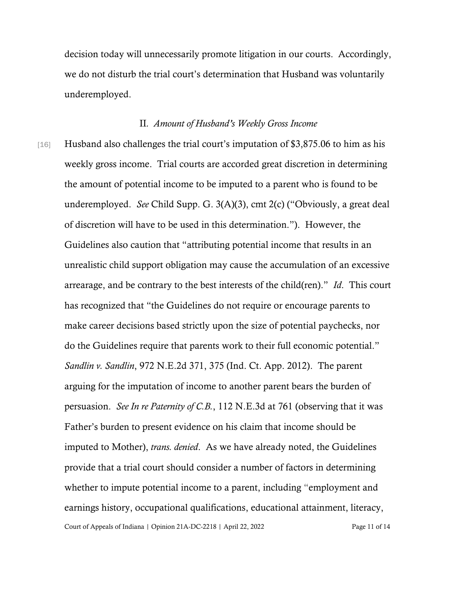decision today will unnecessarily promote litigation in our courts. Accordingly, we do not disturb the trial court's determination that Husband was voluntarily underemployed.

#### II*. Amount of Husband's Weekly Gross Income*

Court of Appeals of Indiana | Opinion 21A-DC-2218 | April 22, 2022 Page 11 of 14 [16] Husband also challenges the trial court's imputation of \$3,875.06 to him as his weekly gross income. Trial courts are accorded great discretion in determining the amount of potential income to be imputed to a parent who is found to be underemployed. *See* Child Supp. G. 3(A)(3), cmt 2(c) ("Obviously, a great deal of discretion will have to be used in this determination."). However, the Guidelines also caution that "attributing potential income that results in an unrealistic child support obligation may cause the accumulation of an excessive arrearage, and be contrary to the best interests of the child(ren)." *Id*. This court has recognized that "the Guidelines do not require or encourage parents to make career decisions based strictly upon the size of potential paychecks, nor do the Guidelines require that parents work to their full economic potential." *Sandlin v. Sandlin*, 972 N.E.2d 371, 375 (Ind. Ct. App. 2012). The parent arguing for the imputation of income to another parent bears the burden of persuasion. *See In re Paternity of C.B.*, 112 N.E.3d at 761 (observing that it was Father's burden to present evidence on his claim that income should be imputed to Mother), *trans. denied*. As we have already noted, the Guidelines provide that a trial court should consider a number of factors in determining whether to impute potential income to a parent, including "employment and earnings history, occupational qualifications, educational attainment, literacy,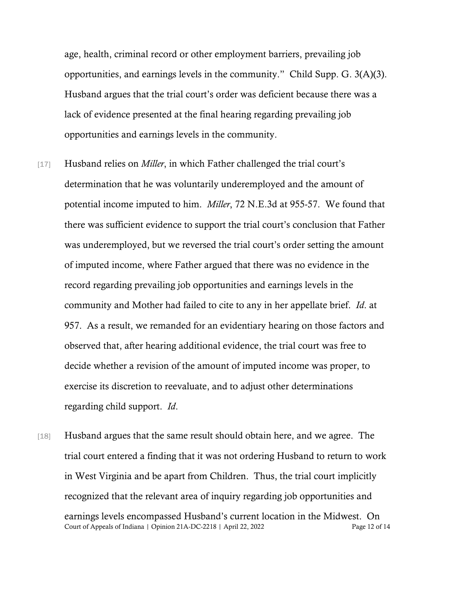age, health, criminal record or other employment barriers, prevailing job opportunities, and earnings levels in the community." Child Supp. G. 3(A)(3). Husband argues that the trial court's order was deficient because there was a lack of evidence presented at the final hearing regarding prevailing job opportunities and earnings levels in the community.

- [17] Husband relies on *Miller*, in which Father challenged the trial court's determination that he was voluntarily underemployed and the amount of potential income imputed to him. *Miller*, 72 N.E.3d at 955-57. We found that there was sufficient evidence to support the trial court's conclusion that Father was underemployed, but we reversed the trial court's order setting the amount of imputed income, where Father argued that there was no evidence in the record regarding prevailing job opportunities and earnings levels in the community and Mother had failed to cite to any in her appellate brief. *Id*. at 957. As a result, we remanded for an evidentiary hearing on those factors and observed that, after hearing additional evidence, the trial court was free to decide whether a revision of the amount of imputed income was proper, to exercise its discretion to reevaluate, and to adjust other determinations regarding child support. *Id*.
- Court of Appeals of Indiana | Opinion 21A-DC-2218 | April 22, 2022 Page 12 of 14 [18] Husband argues that the same result should obtain here, and we agree. The trial court entered a finding that it was not ordering Husband to return to work in West Virginia and be apart from Children. Thus, the trial court implicitly recognized that the relevant area of inquiry regarding job opportunities and earnings levels encompassed Husband's current location in the Midwest. On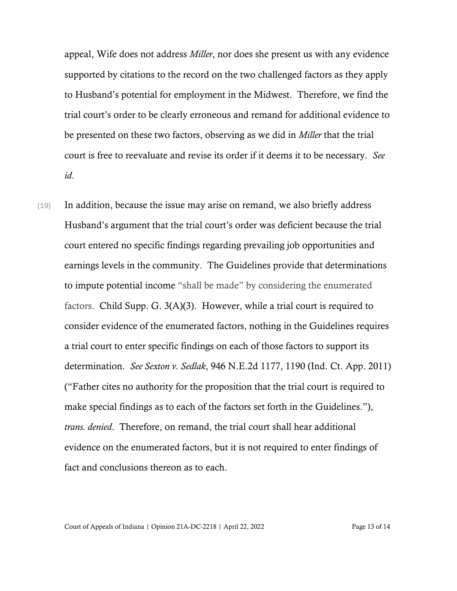appeal, Wife does not address *Miller*, nor does she present us with any evidence supported by citations to the record on the two challenged factors as they apply to Husband's potential for employment in the Midwest. Therefore, we find the trial court's order to be clearly erroneous and remand for additional evidence to be presented on these two factors, observing as we did in *Miller* that the trial court is free to reevaluate and revise its order if it deems it to be necessary. *See id*.

[19] In addition, because the issue may arise on remand, we also briefly address Husband's argument that the trial court's order was deficient because the trial court entered no specific findings regarding prevailing job opportunities and earnings levels in the community. The Guidelines provide that determinations to impute potential income "shall be made" by considering the enumerated factors. Child Supp. G. 3(A)(3). However, while a trial court is required to consider evidence of the enumerated factors, nothing in the Guidelines requires a trial court to enter specific findings on each of those factors to support its determination. *See Sexton v. Sedlak*, 946 N.E.2d 1177, 1190 (Ind. Ct. App. 2011) ("Father cites no authority for the proposition that the trial court is required to make special findings as to each of the factors set forth in the Guidelines."), *trans. denied*. Therefore, on remand, the trial court shall hear additional evidence on the enumerated factors, but it is not required to enter findings of fact and conclusions thereon as to each.